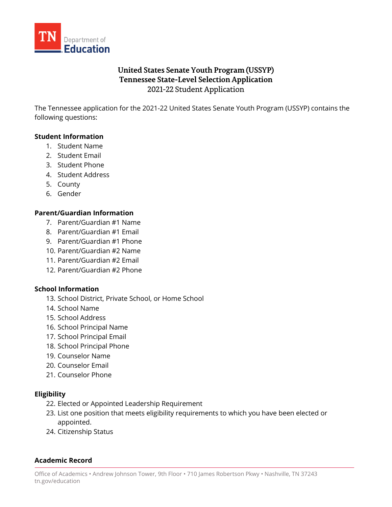

# **United States Senate Youth Program (USSYP) Tennessee State-Level Selection Application** 2021-22 Student Application

The Tennessee application for the 2021-22 United States Senate Youth Program (USSYP) contains the following questions:

### **Student Information**

- 1. Student Name
- 2. Student Email
- 3. Student Phone
- 4. Student Address
- 5. County
- 6. Gender

### **Parent/Guardian Information**

- 7. Parent/Guardian #1 Name
- 8. Parent/Guardian #1 Email
- 9. Parent/Guardian #1 Phone
- 10. Parent/Guardian #2 Name
- 11. Parent/Guardian #2 Email
- 12. Parent/Guardian #2 Phone

#### **School Information**

- 13. School District, Private School, or Home School
- 14. School Name
- 15. School Address
- 16. School Principal Name
- 17. School Principal Email
- 18. School Principal Phone
- 19. Counselor Name
- 20. Counselor Email
- 21. Counselor Phone

#### **Eligibility**

- 22. Elected or Appointed Leadership Requirement
- 23. List one position that meets eligibility requirements to which you have been elected or appointed.
- 24. Citizenship Status

#### **Academic Record**